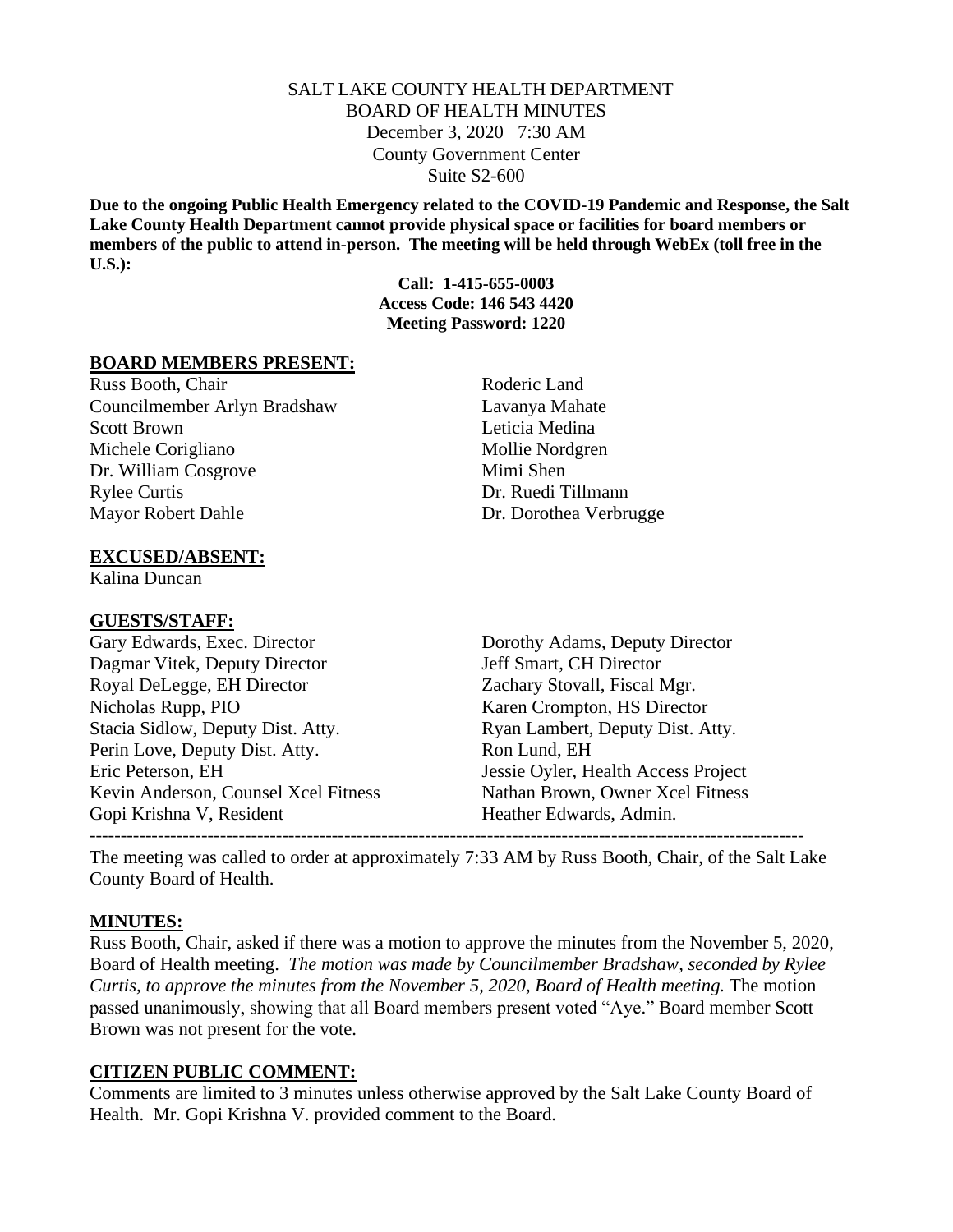## SALT LAKE COUNTY HEALTH DEPARTMENT BOARD OF HEALTH MINUTES December 3, 2020 7:30 AM County Government Center Suite S2-600

**Due to the ongoing Public Health Emergency related to the COVID-19 Pandemic and Response, the Salt Lake County Health Department cannot provide physical space or facilities for board members or members of the public to attend in-person. The meeting will be held through WebEx (toll free in the U.S.):**

> **Call: 1-415-655-0003 Access Code: 146 543 4420 Meeting Password: 1220**

#### **BOARD MEMBERS PRESENT:**

Russ Booth, Chair Roderic Land Councilmember Arlyn Bradshaw Lavanya Mahate Scott Brown Leticia Medina Michele Corigliano Mollie Nordgren Dr. William Cosgrove Mimi Shen Rylee Curtis Dr. Ruedi Tillmann Mayor Robert Dahle Dr. Dorothea Verbrugge

### **EXCUSED/ABSENT:**

Kalina Duncan

#### **GUESTS/STAFF:**

Gary Edwards, Exec. Director Dorothy Adams, Deputy Director Dagmar Vitek, Deputy Director Jeff Smart, CH Director Royal DeLegge, EH Director Zachary Stovall, Fiscal Mgr. Nicholas Rupp, PIO Karen Crompton, HS Director Stacia Sidlow, Deputy Dist. Atty. Ryan Lambert, Deputy Dist. Atty. Perin Love, Deputy Dist. Atty. Ron Lund, EH Eric Peterson, EH Jessie Oyler, Health Access Project Kevin Anderson, Counsel Xcel Fitness Nathan Brown, Owner Xcel Fitness Gopi Krishna V, Resident **Heather Edwards, Admin.** -------------------------------------------------------------------------------------------------------------------

The meeting was called to order at approximately 7:33 AM by Russ Booth, Chair, of the Salt Lake County Board of Health.

#### **MINUTES:**

Russ Booth, Chair, asked if there was a motion to approve the minutes from the November 5, 2020, Board of Health meeting. *The motion was made by Councilmember Bradshaw, seconded by Rylee Curtis, to approve the minutes from the November 5, 2020, Board of Health meeting. The motion* passed unanimously, showing that all Board members present voted "Aye." Board member Scott Brown was not present for the vote.

#### **CITIZEN PUBLIC COMMENT:**

Comments are limited to 3 minutes unless otherwise approved by the Salt Lake County Board of Health. Mr. Gopi Krishna V. provided comment to the Board.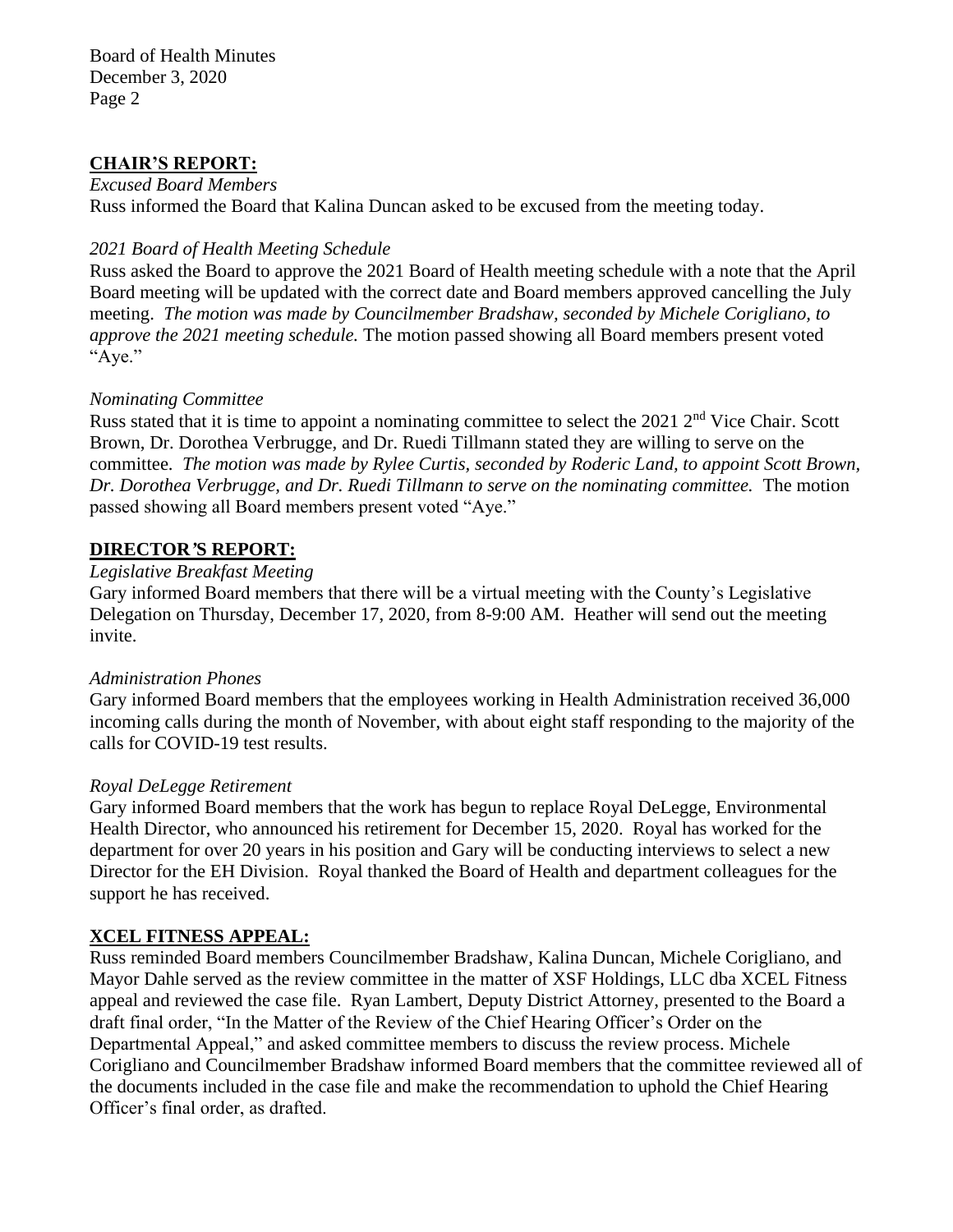Board of Health Minutes December 3, 2020 Page 2

## **CHAIR'S REPORT:**

*Excused Board Members*

Russ informed the Board that Kalina Duncan asked to be excused from the meeting today.

## *2021 Board of Health Meeting Schedule*

Russ asked the Board to approve the 2021 Board of Health meeting schedule with a note that the April Board meeting will be updated with the correct date and Board members approved cancelling the July meeting. *The motion was made by Councilmember Bradshaw, seconded by Michele Corigliano, to approve the 2021 meeting schedule.* The motion passed showing all Board members present voted "Aye."

## *Nominating Committee*

Russ stated that it is time to appoint a nominating committee to select the 2021 2<sup>nd</sup> Vice Chair. Scott Brown, Dr. Dorothea Verbrugge, and Dr. Ruedi Tillmann stated they are willing to serve on the committee. *The motion was made by Rylee Curtis, seconded by Roderic Land, to appoint Scott Brown, Dr. Dorothea Verbrugge, and Dr. Ruedi Tillmann to serve on the nominating committee.* The motion passed showing all Board members present voted "Aye."

## **DIRECTOR***'***S REPORT:**

### *Legislative Breakfast Meeting*

Gary informed Board members that there will be a virtual meeting with the County's Legislative Delegation on Thursday, December 17, 2020, from 8-9:00 AM. Heather will send out the meeting invite.

### *Administration Phones*

Gary informed Board members that the employees working in Health Administration received 36,000 incoming calls during the month of November, with about eight staff responding to the majority of the calls for COVID-19 test results.

### *Royal DeLegge Retirement*

Gary informed Board members that the work has begun to replace Royal DeLegge, Environmental Health Director, who announced his retirement for December 15, 2020. Royal has worked for the department for over 20 years in his position and Gary will be conducting interviews to select a new Director for the EH Division. Royal thanked the Board of Health and department colleagues for the support he has received.

## **XCEL FITNESS APPEAL:**

Russ reminded Board members Councilmember Bradshaw, Kalina Duncan, Michele Corigliano, and Mayor Dahle served as the review committee in the matter of XSF Holdings, LLC dba XCEL Fitness appeal and reviewed the case file. Ryan Lambert, Deputy District Attorney, presented to the Board a draft final order, "In the Matter of the Review of the Chief Hearing Officer's Order on the Departmental Appeal," and asked committee members to discuss the review process. Michele Corigliano and Councilmember Bradshaw informed Board members that the committee reviewed all of the documents included in the case file and make the recommendation to uphold the Chief Hearing Officer's final order, as drafted.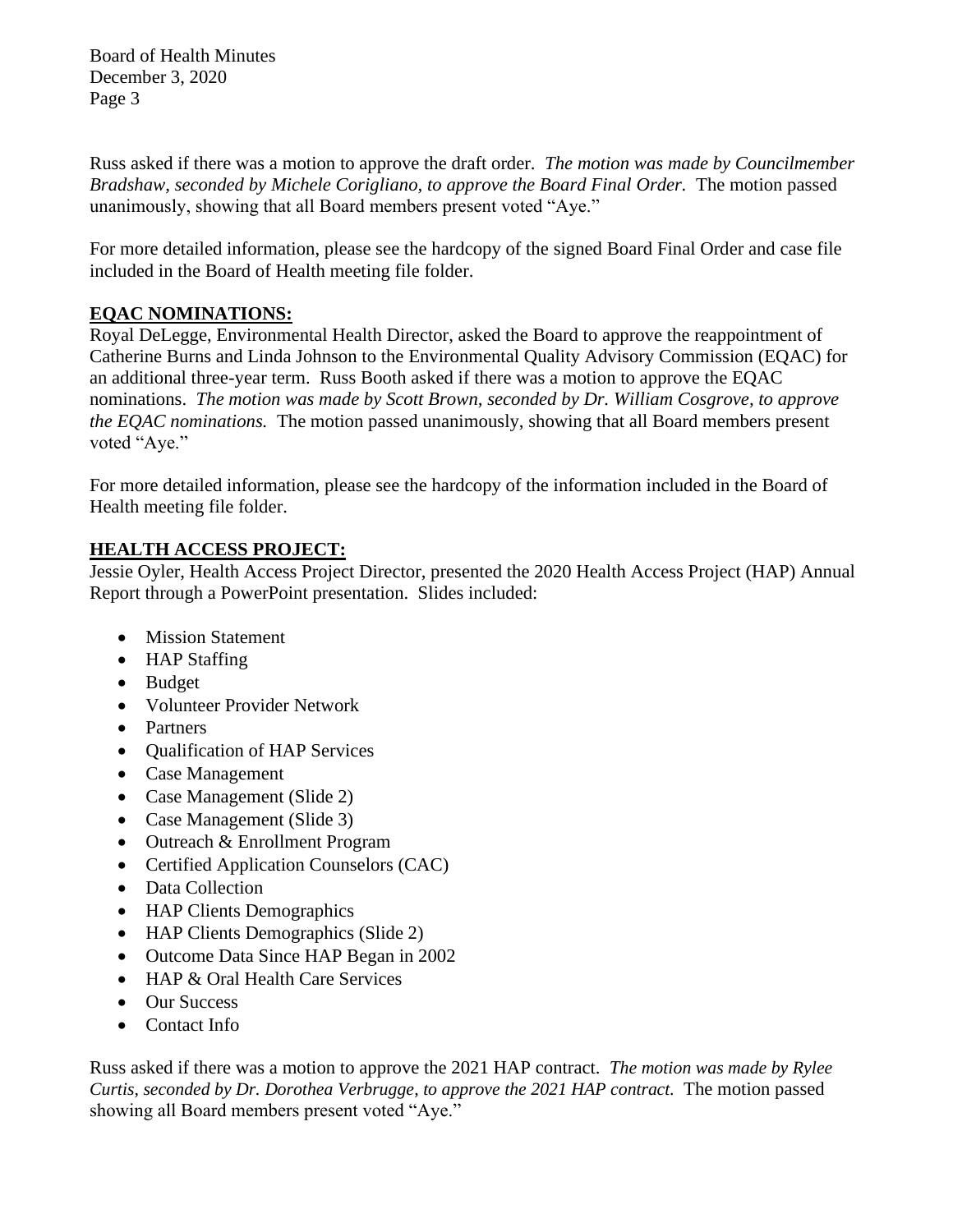Board of Health Minutes December 3, 2020 Page 3

Russ asked if there was a motion to approve the draft order. *The motion was made by Councilmember Bradshaw, seconded by Michele Corigliano, to approve the Board Final Order.* The motion passed unanimously, showing that all Board members present voted "Aye."

For more detailed information, please see the hardcopy of the signed Board Final Order and case file included in the Board of Health meeting file folder.

# **EQAC NOMINATIONS:**

Royal DeLegge, Environmental Health Director, asked the Board to approve the reappointment of Catherine Burns and Linda Johnson to the Environmental Quality Advisory Commission (EQAC) for an additional three-year term. Russ Booth asked if there was a motion to approve the EQAC nominations. *The motion was made by Scott Brown, seconded by Dr. William Cosgrove, to approve the EQAC nominations.* The motion passed unanimously, showing that all Board members present voted "Aye."

For more detailed information, please see the hardcopy of the information included in the Board of Health meeting file folder.

# **HEALTH ACCESS PROJECT:**

Jessie Oyler, Health Access Project Director, presented the 2020 Health Access Project (HAP) Annual Report through a PowerPoint presentation. Slides included:

- Mission Statement
- HAP Staffing
- Budget
- Volunteer Provider Network
- Partners
- Qualification of HAP Services
- Case Management
- Case Management (Slide 2)
- Case Management (Slide 3)
- Outreach & Enrollment Program
- Certified Application Counselors (CAC)
- Data Collection
- HAP Clients Demographics
- HAP Clients Demographics (Slide 2)
- Outcome Data Since HAP Began in 2002
- HAP & Oral Health Care Services
- Our Success
- Contact Info

Russ asked if there was a motion to approve the 2021 HAP contract. *The motion was made by Rylee Curtis, seconded by Dr. Dorothea Verbrugge, to approve the 2021 HAP contract.* The motion passed showing all Board members present voted "Aye."